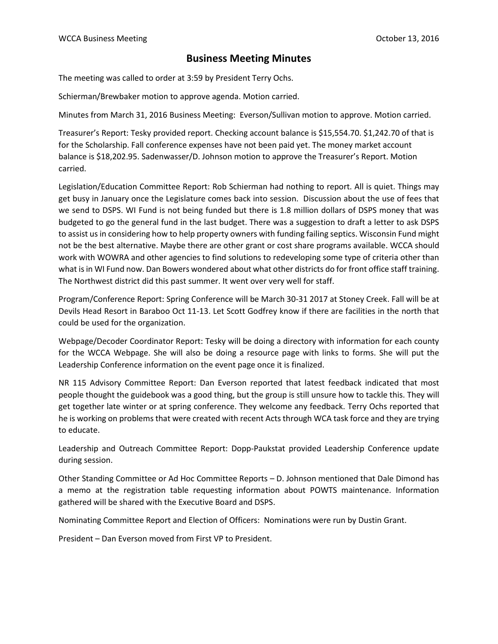## **Business Meeting Minutes**

The meeting was called to order at 3:59 by President Terry Ochs.

Schierman/Brewbaker motion to approve agenda. Motion carried.

Minutes from March 31, 2016 Business Meeting: Everson/Sullivan motion to approve. Motion carried.

Treasurer's Report: Tesky provided report. Checking account balance is \$15,554.70. \$1,242.70 of that is for the Scholarship. Fall conference expenses have not been paid yet. The money market account balance is \$18,202.95. Sadenwasser/D. Johnson motion to approve the Treasurer's Report. Motion carried.

Legislation/Education Committee Report: Rob Schierman had nothing to report. All is quiet. Things may get busy in January once the Legislature comes back into session. Discussion about the use of fees that we send to DSPS. WI Fund is not being funded but there is 1.8 million dollars of DSPS money that was budgeted to go the general fund in the last budget. There was a suggestion to draft a letter to ask DSPS to assist us in considering how to help property owners with funding failing septics. Wisconsin Fund might not be the best alternative. Maybe there are other grant or cost share programs available. WCCA should work with WOWRA and other agencies to find solutions to redeveloping some type of criteria other than what is in WI Fund now. Dan Bowers wondered about what other districts do for front office staff training. The Northwest district did this past summer. It went over very well for staff.

Program/Conference Report: Spring Conference will be March 30-31 2017 at Stoney Creek. Fall will be at Devils Head Resort in Baraboo Oct 11-13. Let Scott Godfrey know if there are facilities in the north that could be used for the organization.

Webpage/Decoder Coordinator Report: Tesky will be doing a directory with information for each county for the WCCA Webpage. She will also be doing a resource page with links to forms. She will put the Leadership Conference information on the event page once it is finalized.

NR 115 Advisory Committee Report: Dan Everson reported that latest feedback indicated that most people thought the guidebook was a good thing, but the group is still unsure how to tackle this. They will get together late winter or at spring conference. They welcome any feedback. Terry Ochs reported that he is working on problems that were created with recent Acts through WCA task force and they are trying to educate.

Leadership and Outreach Committee Report: Dopp-Paukstat provided Leadership Conference update during session.

Other Standing Committee or Ad Hoc Committee Reports – D. Johnson mentioned that Dale Dimond has a memo at the registration table requesting information about POWTS maintenance. Information gathered will be shared with the Executive Board and DSPS.

Nominating Committee Report and Election of Officers: Nominations were run by Dustin Grant.

President – Dan Everson moved from First VP to President.